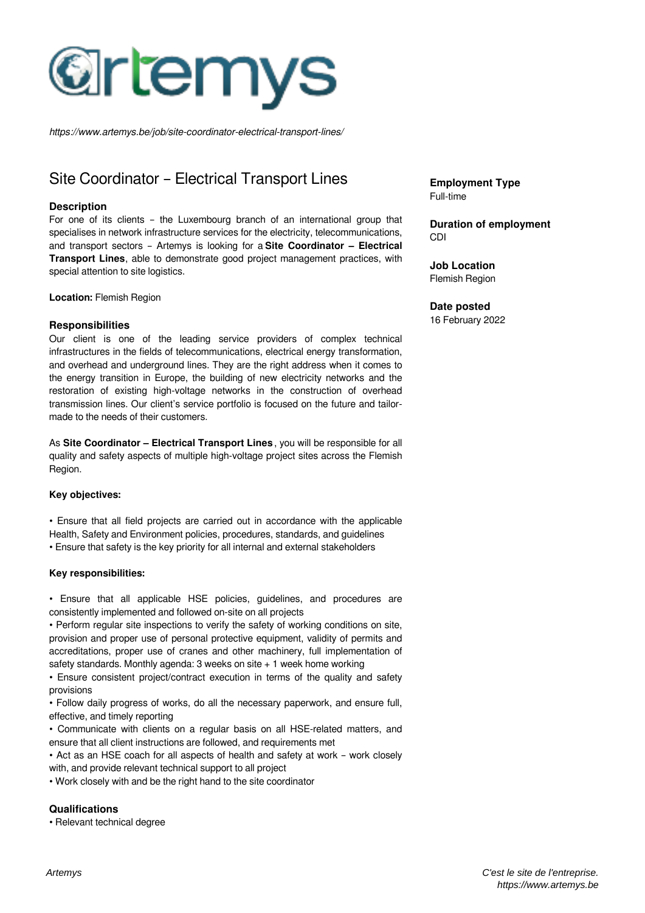

*https://www.artemys.be/job/site-coordinator-electrical-transport-lines/*

# Site Coordinator – Electrical Transport Lines

#### **Description**

For one of its clients – the Luxembourg branch of an international group that specialises in network infrastructure services for the electricity, telecommunications, and transport sectors – Artemys is looking for a **Site Coordinator – Electrical Transport Lines**, able to demonstrate good project management practices, with special attention to site logistics.

**Location:** Flemish Region

#### **Responsibilities**

Our client is one of the leading service providers of complex technical infrastructures in the fields of telecommunications, electrical energy transformation, and overhead and underground lines. They are the right address when it comes to the energy transition in Europe, the building of new electricity networks and the restoration of existing high-voltage networks in the construction of overhead transmission lines. Our client's service portfolio is focused on the future and tailormade to the needs of their customers.

As **Site Coordinator – Electrical Transport Lines** , you will be responsible for all quality and safety aspects of multiple high-voltage project sites across the Flemish Region.

#### **Key objectives:**

• Ensure that all field projects are carried out in accordance with the applicable Health, Safety and Environment policies, procedures, standards, and guidelines

• Ensure that safety is the key priority for all internal and external stakeholders

#### **Key responsibilities:**

• Ensure that all applicable HSE policies, guidelines, and procedures are consistently implemented and followed on-site on all projects

• Perform regular site inspections to verify the safety of working conditions on site, provision and proper use of personal protective equipment, validity of permits and accreditations, proper use of cranes and other machinery, full implementation of safety standards. Monthly agenda:  $3$  weeks on site  $+1$  week home working

• Ensure consistent project/contract execution in terms of the quality and safety provisions

• Follow daily progress of works, do all the necessary paperwork, and ensure full, effective, and timely reporting

• Communicate with clients on a regular basis on all HSE-related matters, and ensure that all client instructions are followed, and requirements met

• Act as an HSE coach for all aspects of health and safety at work – work closely with, and provide relevant technical support to all project

• Work closely with and be the right hand to the site coordinator

### **Qualifications**

• Relevant technical degree

**Employment Type** Full-time

**Duration of employment** CDI

**Job Location** Flemish Region

#### **Date posted**

16 February 2022